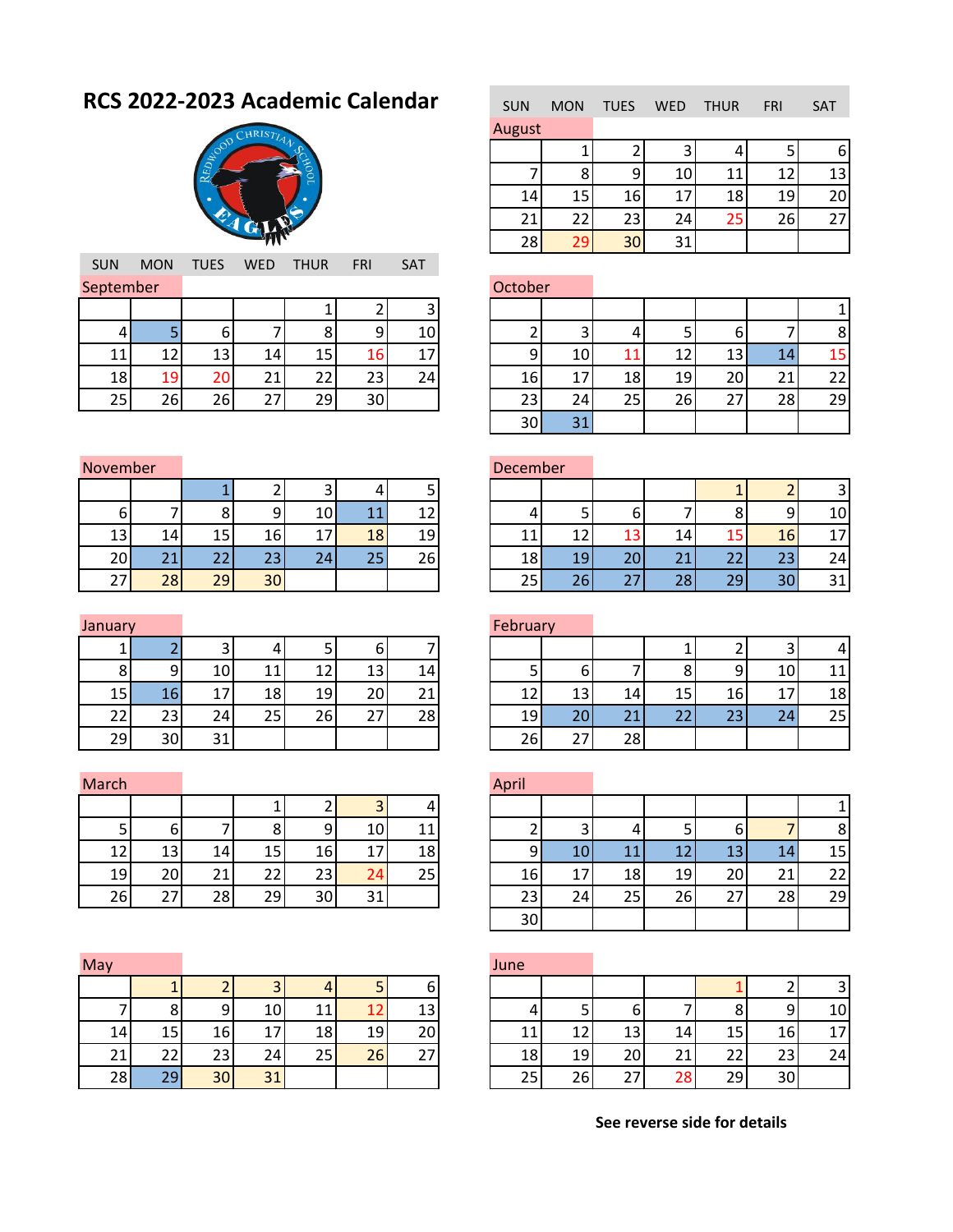## **RCS 2022-2023 Academic Calendar**



|         | <b>SAT</b> | <b>FRI</b> | <b>THUR</b> | <b>WED</b> | <b>TUES</b> | <b>MON</b> | <b>SUN</b> |
|---------|------------|------------|-------------|------------|-------------|------------|------------|
| October |            |            |             |            |             |            | September  |
|         |            |            |             |            |             |            |            |
|         | 10         | g          |             |            |             |            |            |
|         | 17         | 16         | 15          | 14         | 13          | 12         | 11         |
| 16      | 24         | 23         | 22          | 21         | 20          | 19         | 18         |
| 23      |            | 30         | 29          | 27         | 26          | 26         | 25         |
| $ -$    |            |            |             |            |             |            |            |

| <b>SUN</b> | <b>MON</b> | <b>TUES</b> | <b>WED</b> | <b>THUR</b> | <b>FRI</b> | <b>SAT</b> |
|------------|------------|-------------|------------|-------------|------------|------------|
| August     |            |             |            |             |            |            |
|            |            |             | 3          |             |            |            |
|            | ጸ          |             | 10         | 11          | 12         | 13         |
| 14         | 15         | 16          | 17         | 18          | 19         | 20         |
| 21         | 22         | 23          | 24         | 25          | 26         | 27         |
| 28         | 29         | 30          | 31         |             |            |            |

|    | tember |    |    |    |    |     | October |    |    |    |          |    |                |
|----|--------|----|----|----|----|-----|---------|----|----|----|----------|----|----------------|
|    |        |    |    |    |    |     |         |    |    |    |          |    |                |
|    |        | n  |    |    |    | 10  |         |    |    |    |          |    | 8 <sub>l</sub> |
| 11 | 12     | 13 | 14 | 15 | 16 | 17  |         | 10 | 11 | 12 | 4.<br>Ш  | 14 | 15             |
| 18 | 19     | 20 | 21 | 22 | 23 | 241 | 16      | 17 | 18 | 19 | 20       | 21 | 22             |
| 25 | 26     | 26 | 27 | 29 | 30 |     | 23      | 24 | 25 | 26 | ⌒<br>ر ے | 28 | 29             |
|    |        |    |    |    |    |     | 30      | 31 |    |    |          |    |                |

| November |    |     |                 |    |    |     | December |  |
|----------|----|-----|-----------------|----|----|-----|----------|--|
|          |    |     |                 |    |    |     |          |  |
| b        |    |     |                 |    |    |     |          |  |
| 13       | 14 | 15  | 16 <sub>l</sub> |    | 18 | 19  |          |  |
| 20       | 21 | 22. | 23              | 24 | 25 | 26. | 18       |  |
|          | 28 | 29  |                 |    |    |     |          |  |

| January |  |  |  |
|---------|--|--|--|
|         |  |  |  |

|    |                 |    | ∽  |    |     | O  |    |    |    |    |
|----|-----------------|----|----|----|-----|----|----|----|----|----|
|    |                 |    | 10 |    | 1 ว | 13 | 14 | -  |    |    |
| 15 |                 | 16 | 17 | 18 | 19  | 20 | ◠  | 12 | 13 | 14 |
|    |                 | 23 | 24 | 25 | 26  | 27 | 28 | 19 | 20 | 21 |
|    | 29 <sub>1</sub> | 30 |    |    |     |    |    | 26 |    | 28 |

| March |    |    |    |    |    |    | April |  |
|-------|----|----|----|----|----|----|-------|--|
|       |    |    |    |    |    |    |       |  |
|       |    |    | ٥  |    | 10 |    |       |  |
| 12    | 13 | 14 | 15 | 16 |    | 18 |       |  |
| 19    | 20 | 21 | 22 | 23 | 24 | 25 | 16    |  |
| 26    |    | 28 | 29 |    |    |    |       |  |

| May |                 |    |    |    |    |    | June |    |                 |              |        |          |
|-----|-----------------|----|----|----|----|----|------|----|-----------------|--------------|--------|----------|
|     |                 |    |    | 4  |    |    |      |    |                 |              |        |          |
|     |                 | 9  | 10 | 11 |    | 13 |      |    | b               |              | o<br>Ο | $\Omega$ |
| 14  | 15 <sub>1</sub> | 16 | 17 | 18 | 19 | 20 |      | 12 | 13 <sub>l</sub> | 14           | 15     | 16       |
| 21  | 22              | 23 | 24 | 25 | 26 | 27 | 18   | 19 | 20              | $\mathbf{A}$ | 22     | 23       |
| 28  | 29              | 30 | 31 |    |    |    | 25   | 26 | 27              | 28           | 29     | 30       |

|                 | EIIINEI |                    |    |     |    |    | DECETTINE |                 |    |    |              |                |                 |
|-----------------|---------|--------------------|----|-----|----|----|-----------|-----------------|----|----|--------------|----------------|-----------------|
|                 |         |                    |    |     |    |    |           |                 |    |    |              |                |                 |
| 6               |         | Ο                  | 9  | 10I | 11 | 12 |           |                 |    |    | Ο            | $\overline{9}$ | 10              |
| 13 <sub>l</sub> | 14      | 15                 | 16 |     | 18 | 19 |           |                 | и  | 14 |              | 16             | 17              |
| 20l             | 21      | $\mathbf{A}$<br>LL | 23 | 24  | 25 | 26 | 18        | 19              | 20 | 21 | $\sim$<br>22 | 23             | 24 <sub>1</sub> |
| 27              | 28      | 29                 | 30 |     |    |    | 251       | 26 <sub>1</sub> | 27 | 28 | 29           | 30             | 31              |

| January |    |     |    |    |                 |    | February        |    |    |    |    |    |    |
|---------|----|-----|----|----|-----------------|----|-----------------|----|----|----|----|----|----|
|         |    |     |    |    | b               |    |                 |    |    |    |    |    | 4  |
| 8       | a  | 10I | 11 |    | 13 <sub>1</sub> | 14 |                 |    |    |    | 9  | 10 | 11 |
| 15      | 16 | 17  | 18 | 19 | 20              | 21 | 12              | 13 | 14 | 15 | 16 | 17 | 18 |
| 22      | 23 | 24  | 25 | 26 | 27              | 28 | 19 <sub>l</sub> | 20 | 21 | 22 | 23 | 24 | 25 |
| 29      | 30 | 31  |    |    |                 |    | 26              | 27 | 28 |    |    |    |    |

| cn |    |         |    |     |    |    | April |    |    |    |    |    |    |
|----|----|---------|----|-----|----|----|-------|----|----|----|----|----|----|
|    |    |         |    |     |    | 4  |       |    |    |    |    |    |    |
|    | b  |         |    |     | 10 | 11 |       |    |    |    |    |    | 8  |
| 12 | 13 | 14      | 15 | 16I | 17 | 18 | Q     | 10 | 11 | 12 | 13 | 14 | 15 |
| 19 | 20 | า1<br>ᇫ | 22 | 23  | 24 | 25 | 16    | 17 | 18 | 19 | 20 | 21 | 22 |
| 26 | 27 | 28      | 29 | 30  | 31 |    | 23    | 24 | 25 | 26 | 27 | 28 | 29 |
|    |    |         |    |     |    |    | 30    |    |    |    |    |    |    |

|     |    |    |    |                 |    |                 | June |                 |    |     |         |    |    |
|-----|----|----|----|-----------------|----|-----------------|------|-----------------|----|-----|---------|----|----|
|     |    |    | ◠  |                 |    | b               |      |                 |    |     |         |    | 3  |
|     | 8  | 9  | 10 |                 |    | 13 <sub>1</sub> |      |                 |    |     |         | q  | 10 |
| 14  | 15 | 16 | 17 | 18              | 19 | 20              | 11   | 12              | 13 | 14I | 1<br>13 | 16 | 17 |
| 21  | 22 | 23 | 24 | 25 <sup>1</sup> | 26 | 27              | 18   | 19              | 20 |     | $\sim$  | 23 | 24 |
| 28I | 29 | 30 | 31 |                 |    |                 | 25.  | 26 <sub>l</sub> | 27 | 28I | 29      | 30 |    |

**See reverse side for details**